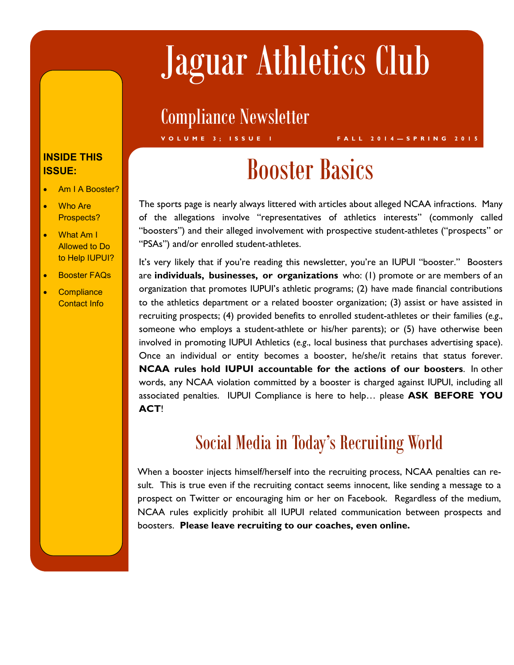# Jaguar Athletics Club

### Compliance Newsletter

#### **DOUL. INSIDE THIS ISSUE:**

- Am I A Booster?
- Who Are Prospects?
- What Am I **Forms** to Help IUPUI? Allowed to Do
- **•** Booster FAQs
- **Compliance** Contact Info

## Booster Basics

**V O L U M E 3 ; I S S U E 1 F A L L 2 0 1 4 — S P R I N G 2 0 1 5**

The sports page is nearly always littered with articles about alleged NCAA infractions. Many of the allegations involve "representatives of athletics interests" (commonly called "boosters") and their alleged involvement with prospective student-athletes ("prospects" or "PSAs") and/or enrolled student-athletes.

It's very likely that if you're reading this newsletter, you're an IUPUI "booster." Boosters are **individuals, businesses, or organizations** who: (1) promote or are members of an organization that promotes IUPUI's athletic programs; (2) have made financial contributions to the athletics department or a related booster organization; (3) assist or have assisted in recruiting prospects; (4) provided benefits to enrolled student-athletes or their families (*e.g*., someone who employs a student-athlete or his/her parents); or (5) have otherwise been involved in promoting IUPUI Athletics (*e.g*., local business that purchases advertising space). Once an individual or entity becomes a booster, he/she/it retains that status forever. **NCAA rules hold IUPUI accountable for the actions of our boosters**. In other words, any NCAA violation committed by a booster is charged against IUPUI, including all associated penalties. IUPUI Compliance is here to help… please **ASK BEFORE YOU ACT**!

### Social Media in Today's Recruiting World

When a booster injects himself/herself into the recruiting process, NCAA penalties can result. This is true even if the recruiting contact seems innocent, like sending a message to a prospect on Twitter or encouraging him or her on Facebook. Regardless of the medium, NCAA rules explicitly prohibit all IUPUI related communication between prospects and boosters. **Please leave recruiting to our coaches, even online.**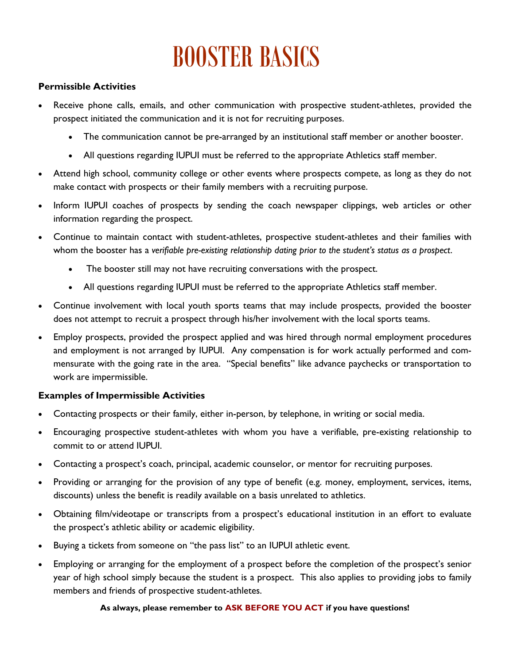# BOOSTER BASICS

#### **Permissible Activities**

- Receive phone calls, emails, and other communication with prospective student-athletes, provided the prospect initiated the communication and it is not for recruiting purposes.
	- The communication cannot be pre-arranged by an institutional staff member or another booster.
	- All questions regarding IUPUI must be referred to the appropriate Athletics staff member.
- Attend high school, community college or other events where prospects compete, as long as they do not make contact with prospects or their family members with a recruiting purpose.
- Inform IUPUI coaches of prospects by sending the coach newspaper clippings, web articles or other information regarding the prospect.
- Continue to maintain contact with student-athletes, prospective student-athletes and their families with whom the booster has a *verifiable pre-existing relationship dating prior to the student's status as a prospect*.
	- The booster still may not have recruiting conversations with the prospect.
	- All questions regarding IUPUI must be referred to the appropriate Athletics staff member.
- Continue involvement with local youth sports teams that may include prospects, provided the booster does not attempt to recruit a prospect through his/her involvement with the local sports teams.
- Employ prospects, provided the prospect applied and was hired through normal employment procedures and employment is not arranged by IUPUI. Any compensation is for work actually performed and commensurate with the going rate in the area. "Special benefits" like advance paychecks or transportation to work are impermissible.

#### **Examples of Impermissible Activities**

- Contacting prospects or their family, either in-person, by telephone, in writing or social media.
- Encouraging prospective student-athletes with whom you have a verifiable, pre-existing relationship to commit to or attend IUPUI.
- Contacting a prospect's coach, principal, academic counselor, or mentor for recruiting purposes.
- Providing or arranging for the provision of any type of benefit (e.g. money, employment, services, items, discounts) unless the benefit is readily available on a basis unrelated to athletics.
- Obtaining film/videotape or transcripts from a prospect's educational institution in an effort to evaluate the prospect's athletic ability or academic eligibility.
- Buying a tickets from someone on "the pass list" to an IUPUI athletic event.
- Employing or arranging for the employment of a prospect before the completion of the prospect's senior year of high school simply because the student is a prospect. This also applies to providing jobs to family members and friends of prospective student-athletes.

#### **As always, please remember to ASK BEFORE YOU ACT if you have questions!**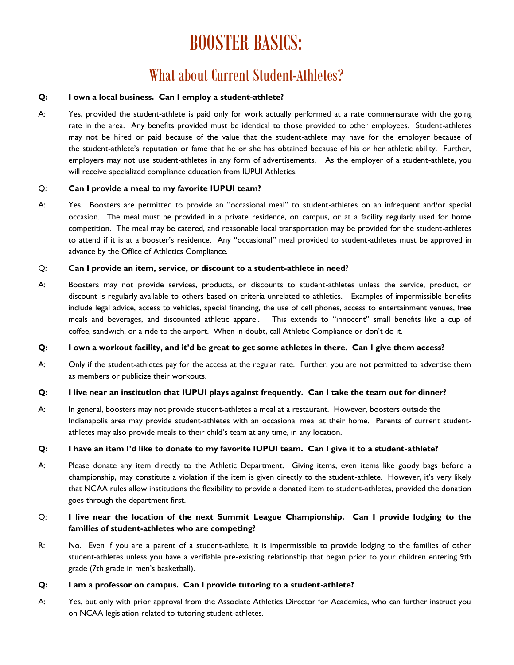### BOOSTER BASICS:

### What about Current Student-Athletes?

#### **Q: I own a local business. Can I employ a student-athlete?**

A: Yes, provided the student-athlete is paid only for work actually performed at a rate commensurate with the going rate in the area. Any benefits provided must be identical to those provided to other employees. Student-athletes may not be hired or paid because of the value that the student-athlete may have for the employer because of the student-athlete's reputation or fame that he or she has obtained because of his or her athletic ability. Further, employers may not use student-athletes in any form of advertisements. As the employer of a student-athlete, you will receive specialized compliance education from IUPUI Athletics.

#### Q: **Can I provide a meal to my favorite IUPUI team?**

A: Yes. Boosters are permitted to provide an "occasional meal" to student-athletes on an infrequent and/or special occasion. The meal must be provided in a private residence, on campus, or at a facility regularly used for home competition. The meal may be catered, and reasonable local transportation may be provided for the student-athletes to attend if it is at a booster's residence. Any "occasional" meal provided to student-athletes must be approved in advance by the Office of Athletics Compliance.

#### Q: **Can I provide an item, service, or discount to a student-athlete in need?**

A: Boosters may not provide services, products, or discounts to student-athletes unless the service, product, or discount is regularly available to others based on criteria unrelated to athletics. Examples of impermissible benefits include legal advice, access to vehicles, special financing, the use of cell phones, access to entertainment venues, free meals and beverages, and discounted athletic apparel. This extends to "innocent" small benefits like a cup of coffee, sandwich, or a ride to the airport. When in doubt, call Athletic Compliance or don't do it.

#### **Q: I own a workout facility, and it'd be great to get some athletes in there. Can I give them access?**

A: Only if the student-athletes pay for the access at the regular rate. Further, you are not permitted to advertise them as members or publicize their workouts.

#### **Q: I live near an institution that IUPUI plays against frequently. Can I take the team out for dinner?**

A: In general, boosters may not provide student-athletes a meal at a restaurant. However, boosters outside the Indianapolis area may provide student-athletes with an occasional meal at their home. Parents of current studentathletes may also provide meals to their child's team at any time, in any location.

#### **Q: I have an item I'd like to donate to my favorite IUPUI team. Can I give it to a student-athlete?**

A: Please donate any item directly to the Athletic Department. Giving items, even items like goody bags before a championship, may constitute a violation if the item is given directly to the student-athlete. However, it's very likely that NCAA rules allow institutions the flexibility to provide a donated item to student-athletes, provided the donation goes through the department first.

#### Q: **I live near the location of the next Summit League Championship. Can I provide lodging to the families of student-athletes who are competing?**

R: No. Even if you are a parent of a student-athlete, it is impermissible to provide lodging to the families of other student-athletes unless you have a verifiable pre-existing relationship that began prior to your children entering 9th grade (7th grade in men's basketball).

#### **Q: I am a professor on campus. Can I provide tutoring to a student-athlete?**

A: Yes, but only with prior approval from the Associate Athletics Director for Academics, who can further instruct you on NCAA legislation related to tutoring student-athletes.